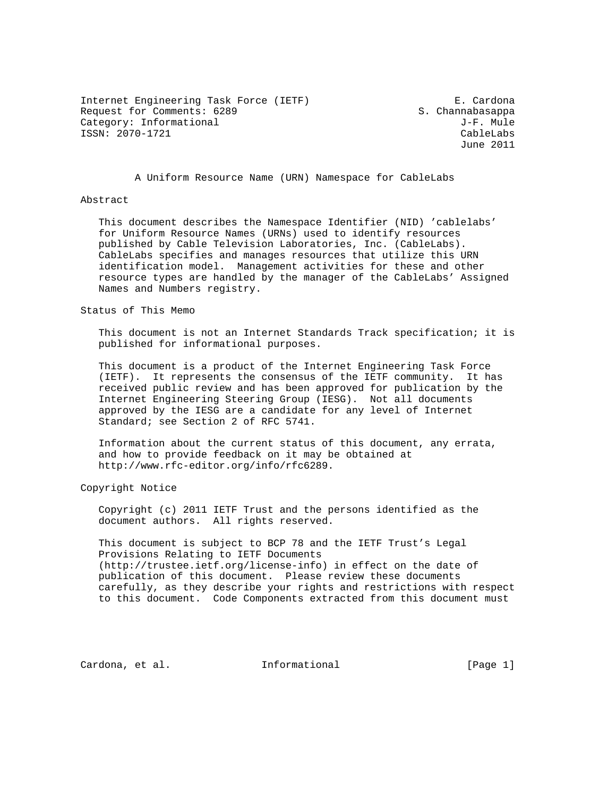Internet Engineering Task Force (IETF) E. Cardona Request for Comments: 6289 S. Channabasappa Category: Informational  $J-F.$  Mule ISSN: 2070-1721 CableLabs

June 2011

A Uniform Resource Name (URN) Namespace for CableLabs

## Abstract

 This document describes the Namespace Identifier (NID) 'cablelabs' for Uniform Resource Names (URNs) used to identify resources published by Cable Television Laboratories, Inc. (CableLabs). CableLabs specifies and manages resources that utilize this URN identification model. Management activities for these and other resource types are handled by the manager of the CableLabs' Assigned Names and Numbers registry.

## Status of This Memo

 This document is not an Internet Standards Track specification; it is published for informational purposes.

 This document is a product of the Internet Engineering Task Force (IETF). It represents the consensus of the IETF community. It has received public review and has been approved for publication by the Internet Engineering Steering Group (IESG). Not all documents approved by the IESG are a candidate for any level of Internet Standard; see Section 2 of RFC 5741.

 Information about the current status of this document, any errata, and how to provide feedback on it may be obtained at http://www.rfc-editor.org/info/rfc6289.

Copyright Notice

 Copyright (c) 2011 IETF Trust and the persons identified as the document authors. All rights reserved.

 This document is subject to BCP 78 and the IETF Trust's Legal Provisions Relating to IETF Documents (http://trustee.ietf.org/license-info) in effect on the date of publication of this document. Please review these documents carefully, as they describe your rights and restrictions with respect to this document. Code Components extracted from this document must

Cardona, et al. 100 Informational [Page 1]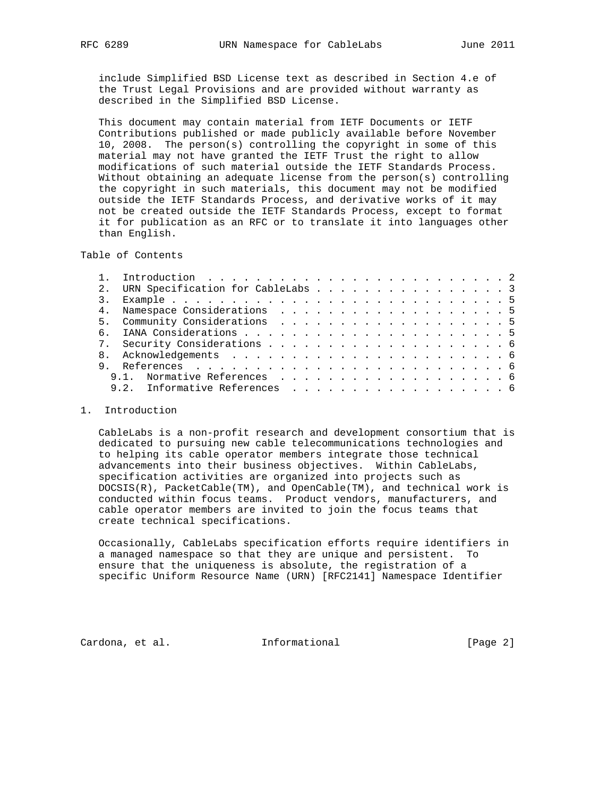include Simplified BSD License text as described in Section 4.e of the Trust Legal Provisions and are provided without warranty as described in the Simplified BSD License.

 This document may contain material from IETF Documents or IETF Contributions published or made publicly available before November 10, 2008. The person(s) controlling the copyright in some of this material may not have granted the IETF Trust the right to allow modifications of such material outside the IETF Standards Process. Without obtaining an adequate license from the person(s) controlling the copyright in such materials, this document may not be modified outside the IETF Standards Process, and derivative works of it may not be created outside the IETF Standards Process, except to format it for publication as an RFC or to translate it into languages other than English.

Table of Contents

|             | Introduction $\ldots \ldots \ldots \ldots \ldots \ldots \ldots \ldots \ldots \ldots$ |  |  |  |  |  |  |  |  |  |
|-------------|--------------------------------------------------------------------------------------|--|--|--|--|--|--|--|--|--|
| $2^{\circ}$ | URN Specification for CableLabs 3                                                    |  |  |  |  |  |  |  |  |  |
|             |                                                                                      |  |  |  |  |  |  |  |  |  |
|             |                                                                                      |  |  |  |  |  |  |  |  |  |
|             |                                                                                      |  |  |  |  |  |  |  |  |  |
| რ —         |                                                                                      |  |  |  |  |  |  |  |  |  |
|             |                                                                                      |  |  |  |  |  |  |  |  |  |
|             |                                                                                      |  |  |  |  |  |  |  |  |  |
|             |                                                                                      |  |  |  |  |  |  |  |  |  |
|             |                                                                                      |  |  |  |  |  |  |  |  |  |
|             | 9.2. Informative References 6                                                        |  |  |  |  |  |  |  |  |  |
|             |                                                                                      |  |  |  |  |  |  |  |  |  |

## 1. Introduction

 CableLabs is a non-profit research and development consortium that is dedicated to pursuing new cable telecommunications technologies and to helping its cable operator members integrate those technical advancements into their business objectives. Within CableLabs, specification activities are organized into projects such as DOCSIS(R), PacketCable(TM), and OpenCable(TM), and technical work is conducted within focus teams. Product vendors, manufacturers, and cable operator members are invited to join the focus teams that create technical specifications.

 Occasionally, CableLabs specification efforts require identifiers in a managed namespace so that they are unique and persistent. To ensure that the uniqueness is absolute, the registration of a specific Uniform Resource Name (URN) [RFC2141] Namespace Identifier

Cardona, et al. Informational [Page 2]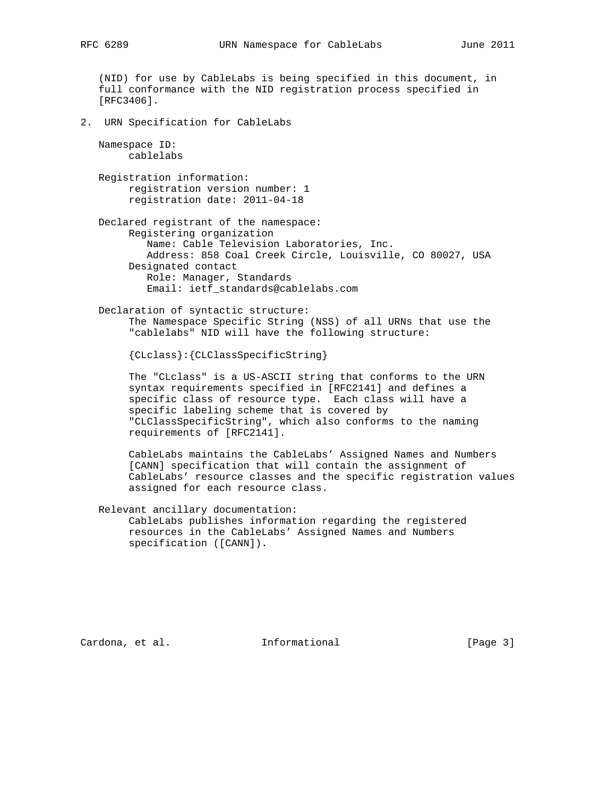(NID) for use by CableLabs is being specified in this document, in full conformance with the NID registration process specified in [RFC3406]. 2. URN Specification for CableLabs Namespace ID: cablelabs Registration information: registration version number: 1 registration date: 2011-04-18 Declared registrant of the namespace: Registering organization Name: Cable Television Laboratories, Inc. Address: 858 Coal Creek Circle, Louisville, CO 80027, USA Designated contact Role: Manager, Standards Email: ietf\_standards@cablelabs.com Declaration of syntactic structure: The Namespace Specific String (NSS) of all URNs that use the "cablelabs" NID will have the following structure: {CLclass}:{CLClassSpecificString} The "CLclass" is a US-ASCII string that conforms to the URN syntax requirements specified in [RFC2141] and defines a specific class of resource type. Each class will have a specific labeling scheme that is covered by "CLClassSpecificString", which also conforms to the naming requirements of [RFC2141]. CableLabs maintains the CableLabs' Assigned Names and Numbers [CANN] specification that will contain the assignment of CableLabs' resource classes and the specific registration values assigned for each resource class. Relevant ancillary documentation: CableLabs publishes information regarding the registered resources in the CableLabs' Assigned Names and Numbers specification ([CANN]).

Cardona, et al. 1nformational 1999 [Page 3]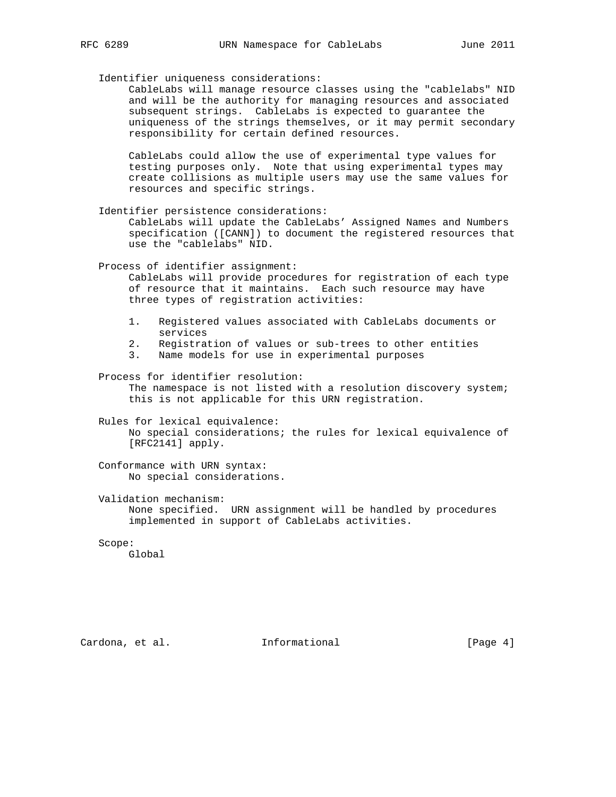Identifier uniqueness considerations:

 CableLabs will manage resource classes using the "cablelabs" NID and will be the authority for managing resources and associated subsequent strings. CableLabs is expected to guarantee the uniqueness of the strings themselves, or it may permit secondary responsibility for certain defined resources.

 CableLabs could allow the use of experimental type values for testing purposes only. Note that using experimental types may create collisions as multiple users may use the same values for resources and specific strings.

Identifier persistence considerations:

 CableLabs will update the CableLabs' Assigned Names and Numbers specification ([CANN]) to document the registered resources that use the "cablelabs" NID.

Process of identifier assignment:

 CableLabs will provide procedures for registration of each type of resource that it maintains. Each such resource may have three types of registration activities:

- 1. Registered values associated with CableLabs documents or services
- 2. Registration of values or sub-trees to other entities
- 3. Name models for use in experimental purposes

 Process for identifier resolution: The namespace is not listed with a resolution discovery system; this is not applicable for this URN registration.

 Rules for lexical equivalence: No special considerations; the rules for lexical equivalence of [RFC2141] apply.

 Conformance with URN syntax: No special considerations.

 Validation mechanism: None specified. URN assignment will be handled by procedures implemented in support of CableLabs activities.

Scope:

Global

Cardona, et al. 1nformational [Page 4]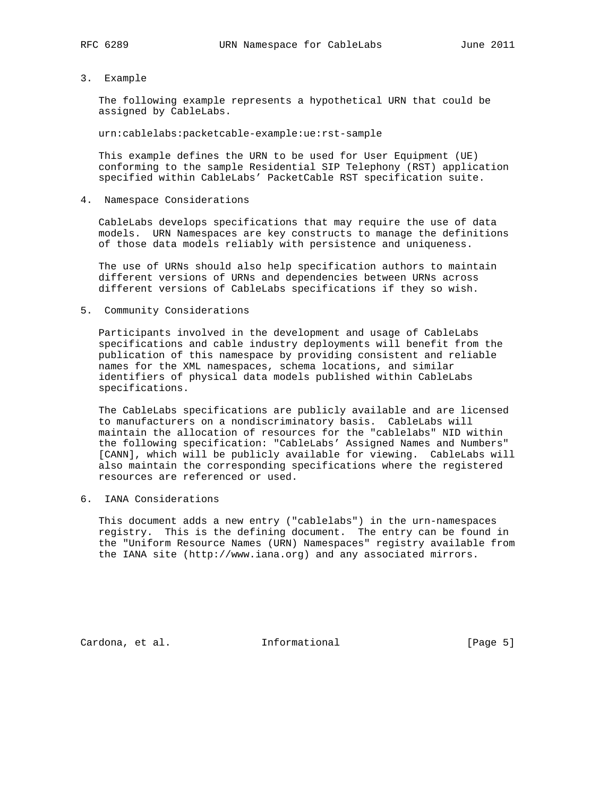## 3. Example

 The following example represents a hypothetical URN that could be assigned by CableLabs.

urn:cablelabs:packetcable-example:ue:rst-sample

 This example defines the URN to be used for User Equipment (UE) conforming to the sample Residential SIP Telephony (RST) application specified within CableLabs' PacketCable RST specification suite.

4. Namespace Considerations

 CableLabs develops specifications that may require the use of data models. URN Namespaces are key constructs to manage the definitions of those data models reliably with persistence and uniqueness.

 The use of URNs should also help specification authors to maintain different versions of URNs and dependencies between URNs across different versions of CableLabs specifications if they so wish.

5. Community Considerations

 Participants involved in the development and usage of CableLabs specifications and cable industry deployments will benefit from the publication of this namespace by providing consistent and reliable names for the XML namespaces, schema locations, and similar identifiers of physical data models published within CableLabs specifications.

 The CableLabs specifications are publicly available and are licensed to manufacturers on a nondiscriminatory basis. CableLabs will maintain the allocation of resources for the "cablelabs" NID within the following specification: "CableLabs' Assigned Names and Numbers" [CANN], which will be publicly available for viewing. CableLabs will also maintain the corresponding specifications where the registered resources are referenced or used.

6. IANA Considerations

 This document adds a new entry ("cablelabs") in the urn-namespaces registry. This is the defining document. The entry can be found in the "Uniform Resource Names (URN) Namespaces" registry available from the IANA site (http://www.iana.org) and any associated mirrors.

Cardona, et al. 1nformational [Page 5]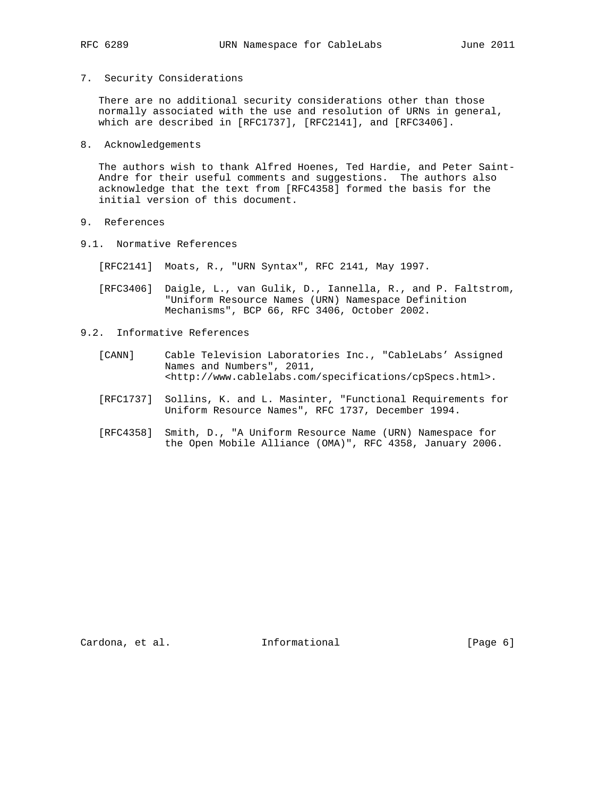7. Security Considerations

 There are no additional security considerations other than those normally associated with the use and resolution of URNs in general, which are described in [RFC1737], [RFC2141], and [RFC3406].

8. Acknowledgements

 The authors wish to thank Alfred Hoenes, Ted Hardie, and Peter Saint- Andre for their useful comments and suggestions. The authors also acknowledge that the text from [RFC4358] formed the basis for the initial version of this document.

- 9. References
- 9.1. Normative References

[RFC2141] Moats, R., "URN Syntax", RFC 2141, May 1997.

- [RFC3406] Daigle, L., van Gulik, D., Iannella, R., and P. Faltstrom, "Uniform Resource Names (URN) Namespace Definition Mechanisms", BCP 66, RFC 3406, October 2002.
- 9.2. Informative References
	- [CANN] Cable Television Laboratories Inc., "CableLabs' Assigned Names and Numbers", 2011, <http://www.cablelabs.com/specifications/cpSpecs.html>.
	- [RFC1737] Sollins, K. and L. Masinter, "Functional Requirements for Uniform Resource Names", RFC 1737, December 1994.
	- [RFC4358] Smith, D., "A Uniform Resource Name (URN) Namespace for the Open Mobile Alliance (OMA)", RFC 4358, January 2006.

Cardona, et al. 1nformational [Page 6]